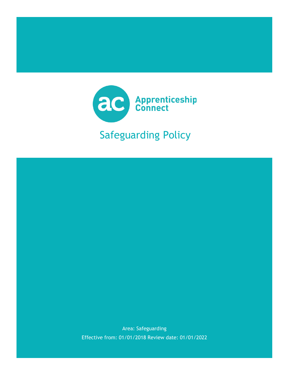

# Safeguarding Policy

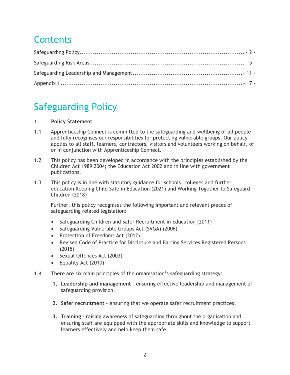# **Contents**

# <span id="page-1-0"></span>Safeguarding Policy

# **1. Policy Statement**

- 1.1 Apprenticeship Connect is committed to the safeguarding and wellbeing of all people and fully recognises our responsibilities for protecting vulnerable groups. Our policy applies to all staff, learners, contractors, visitors and volunteers working on behalf, of or in conjunction with Apprenticeship Connect.
- 1.2 This policy has been developed in accordance with the principles established by the Children Act 1989 2004; the Education Act 2002 and in line with government publications.
- 1.3 This policy is in line with statutory guidance for schools, colleges and further education Keeping Child Safe in Education (2021) and Working Together to Safeguard Children (2018)

Further, this policy recognises the following important and relevant pieces of safeguarding related legislation:

- Safeguarding Children and Safer Recruitment in Education (2011)
- Safeguarding Vulnerable Groups Act (SVGA) (2006)
- Protection of Freedoms Act (2012)
- Revised Code of Practice for Disclosure and Barring Services Registered Persons (2015)
- Sexual Offences Act (2003)
- Equality Act (2010)
- 1.4 There are six main principles of the organisation's safeguarding strategy:
	- **1. Leadership and management** ensuring effective leadership and management of safeguarding provision.
	- **2. Safer recruitment** ensuring that we operate safer recruitment practices.
	- **3. Training** raising awareness of safeguarding throughout the organisation and ensuring staff are equipped with the appropriate skills and knowledge to support learners effectively and help keep them safe.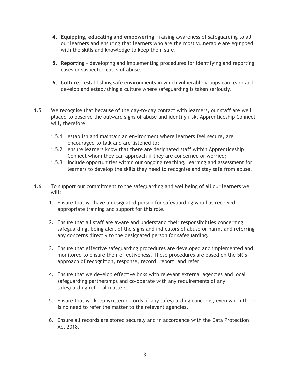- **4. Equipping, educating and empowering** raising awareness of safeguarding to all our learners and ensuring that learners who are the most vulnerable are equipped with the skills and knowledge to keep them safe.
- **5. Reporting** developing and implementing procedures for identifying and reporting cases or suspected cases of abuse.
- **6. Culture** establishing safe environments in which vulnerable groups can learn and develop and establishing a culture where safeguarding is taken seriously.
- 1.5 We recognise that because of the day-to-day contact with learners, our staff are well placed to observe the outward signs of abuse and identify risk. Apprenticeship Connect will, therefore:
	- 1.5.1 establish and maintain an environment where learners feel secure, are encouraged to talk and are listened to;
	- 1.5.2 ensure learners know that there are designated staff within Apprenticeship Connect whom they can approach if they are concerned or worried;
	- 1.5.3 include opportunities within our ongoing teaching, learning and assessment for learners to develop the skills they need to recognise and stay safe from abuse.
- 1.6 To support our commitment to the safeguarding and wellbeing of all our learners we will:
	- 1. Ensure that we have a designated person for safeguarding who has received appropriate training and support for this role.
	- 2. Ensure that all staff are aware and understand their responsibilities concerning safeguarding, being alert of the signs and indicators of abuse or harm, and referring any concerns directly to the designated person for safeguarding.
	- 3. Ensure that effective safeguarding procedures are developed and implemented and monitored to ensure their effectiveness. These procedures are based on the 5R's approach of recognition, response, record, report, and refer.
	- 4. Ensure that we develop effective links with relevant external agencies and local safeguarding partnerships and co-operate with any requirements of any safeguarding referral matters.
	- 5. Ensure that we keep written records of any safeguarding concerns, even when there is no need to refer the matter to the relevant agencies.
	- 6. Ensure all records are stored securely and in accordance with the Data Protection Act 2018.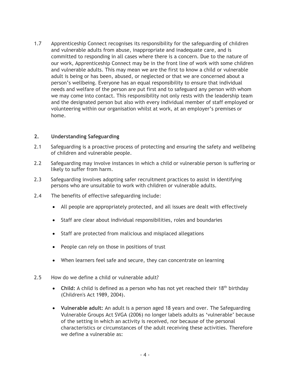1.7 Apprenticeship Connect recognises its responsibility for the safeguarding of children and vulnerable adults from abuse, inappropriate and inadequate care, and is committed to responding in all cases where there is a concern. Due to the nature of our work, Apprenticeship Connect may be in the front line of work with some children and vulnerable adults. This may mean we are the first to know a child or vulnerable adult is being or has been, abused, or neglected or that we are concerned about a person's wellbeing. Everyone has an equal responsibility to ensure that individual needs and welfare of the person are put first and to safeguard any person with whom we may come into contact. This responsibility not only rests with the leadership team and the designated person but also with every individual member of staff employed or volunteering within our organisation whilst at work, at an employer's premises or home.

#### **2. Understanding Safeguarding**

- 2.1 Safeguarding is a proactive process of protecting and ensuring the safety and wellbeing of children and vulnerable people.
- 2.2 Safeguarding may involve instances in which a child or vulnerable person is suffering or likely to suffer from harm.
- 2.3 Safeguarding involves adopting safer recruitment practices to assist in identifying persons who are unsuitable to work with children or vulnerable adults.
- 2.4 The benefits of effective safeguarding include:
	- All people are appropriately protected, and all issues are dealt with effectively
	- Staff are clear about individual responsibilities, roles and boundaries
	- Staff are protected from malicious and misplaced allegations
	- People can rely on those in positions of trust
	- When learners feel safe and secure, they can concentrate on learning
- 2.5 How do we define a child or vulnerable adult?
	- Child: A child is defined as a person who has not yet reached their 18<sup>th</sup> birthday (Children's Act 1989, 2004).
	- **Vulnerable adult:** An adult is a person aged 18 years and over. The Safeguarding Vulnerable Groups Act SVGA (2006) no longer labels adults as 'vulnerable' because of the setting in which an activity is received, nor because of the personal characteristics or circumstances of the adult receiving these activities. Therefore we define a vulnerable as: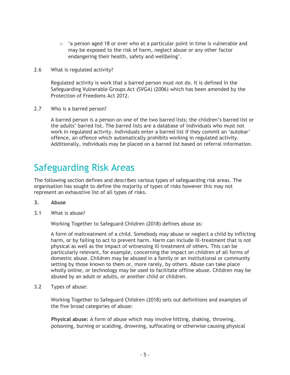- $\circ$  'a person aged 18 or over who at a particular point in time is vulnerable and may be exposed to the risk of harm, neglect abuse or any other factor endangering their health, safety and wellbeing'.
- 2.6 What is regulated activity?

Regulated activity is work that a barred person must not do. It is defined in the Safeguarding Vulnerable Groups Act (SVGA) (2006) which has been amended by the Protection of Freedoms Act 2012.

2.7 Who is a barred person?

A barred person is a person on one of the two barred lists; the children's barred list or the adults' barred list. The barred lists are a database of individuals who must not work in regulated activity. Individuals enter a barred list if they commit an 'autobar' offence, an offence which automatically prohibits working in regulated activity. Additionally, individuals may be placed on a barred list based on referral information.

# <span id="page-4-0"></span>Safeguarding Risk Areas

The following section defines and describes various types of safeguarding risk areas. The organisation has sought to define the majority of types of risks however this may not represent an exhaustive list of all types of risks.

# **3. Abuse**

3.1 What is abuse?

Working Together to Safeguard Children (2018) defines abuse as:

A form of maltreatment of a child. Somebody may abuse or neglect a child by inflicting harm, or by failing to act to prevent harm. Harm can include ill-treatment that is not physical as well as the impact of witnessing ill-treatment of others. This can be particularly relevant, for example, concerning the impact on children of all forms of domestic abuse. Children may be abused in a family or an institutional or community setting by those known to them or, more rarely, by others. Abuse can take place wholly online, or technology may be used to facilitate offline abuse. Children may be abused by an adult or adults, or another child or children.

3.2 Types of abuse:

Working Together to Safeguard Children (2018) sets out definitions and examples of the five broad categories of abuse:

**Physical abuse:** A form of abuse which may involve hitting, shaking, throwing, poisoning, burning or scalding, drowning, suffocating or otherwise causing physical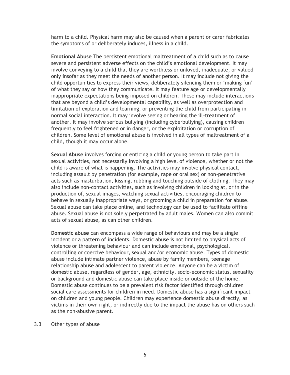harm to a child. Physical harm may also be caused when a parent or carer fabricates the symptoms of or deliberately induces, illness in a child.

**Emotional Abuse** The persistent emotional maltreatment of a child such as to cause severe and persistent adverse effects on the child's emotional development. It may involve conveying to a child that they are worthless or unloved, inadequate, or valued only insofar as they meet the needs of another person. It may include not giving the child opportunities to express their views, deliberately silencing them or 'making fun' of what they say or how they communicate. It may feature age or developmentally inappropriate expectations being imposed on children. These may include interactions that are beyond a child's developmental capability, as well as overprotection and limitation of exploration and learning, or preventing the child from participating in normal social interaction. It may involve seeing or hearing the ill-treatment of another. It may involve serious bullying (including cyberbullying), causing children frequently to feel frightened or in danger, or the exploitation or corruption of children. Some level of emotional abuse is involved in all types of maltreatment of a child, though it may occur alone.

**Sexual Abuse** involves forcing or enticing a child or young person to take part in sexual activities, not necessarily involving a high level of violence, whether or not the child is aware of what is happening. The activities may involve physical contact, including assault by penetration (for example, rape or oral sex) or non-penetrative acts such as masturbation, kissing, rubbing and touching outside of clothing. They may also include non-contact activities, such as involving children in looking at, or in the production of, sexual images, watching sexual activities, encouraging children to behave in sexually inappropriate ways, or grooming a child in preparation for abuse. Sexual abuse can take place online, and technology can be used to facilitate offline abuse. Sexual abuse is not solely perpetrated by adult males. Women can also commit acts of sexual abuse, as can other children.

**Domestic abuse** can encompass a wide range of behaviours and may be a single incident or a pattern of incidents. Domestic abuse is not limited to physical acts of violence or threatening behaviour and can include emotional, psychological, controlling or coercive behaviour, sexual and/or economic abuse. Types of domestic abuse include intimate partner violence, abuse by family members, teenage relationship abuse and adolescent to parent violence. Anyone can be a victim of domestic abuse, regardless of gender, age, ethnicity, socio-economic status, sexuality or background and domestic abuse can take place inside or outside of the home. Domestic abuse continues to be a prevalent risk factor identified through children social care assessments for children in need. Domestic abuse has a significant impact on children and young people. Children may experience domestic abuse directly, as victims in their own right, or indirectly due to the impact the abuse has on others such as the non-abusive parent.

3.3 Other types of abuse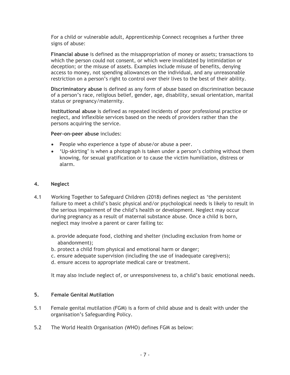For a child or vulnerable adult, Apprenticeship Connect recognises a further three signs of abuse:

**Financial abuse** is defined as the misappropriation of money or assets; transactions to which the person could not consent, or which were invalidated by intimidation or deception; or the misuse of assets. Examples include misuse of benefits, denying access to money, not spending allowances on the individual, and any unreasonable restriction on a person's right to control over their lives to the best of their ability.

**Discriminatory abuse** is defined as any form of abuse based on discrimination because of a person's race, religious belief, gender, age, disability, sexual orientation, marital status or pregnancy/maternity.

**Institutional abuse** is defined as repeated incidents of poor professional practice or neglect, and inflexible services based on the needs of providers rather than the persons acquiring the service.

#### **Peer-on-peer abuse** includes:

- People who experience a type of abuse/or abuse a peer.
- 'Up-skirting' is when a photograph is taken under a person's clothing without them knowing, for sexual gratification or to cause the victim humiliation, distress or alarm.

#### **4. Neglect**

- 4.1 Working Together to Safeguard Children (2018) defines neglect as 'the persistent failure to meet a child's basic physical and/or psychological needs is likely to result in the serious impairment of the child's health or development. Neglect may occur during pregnancy as a result of maternal substance abuse. Once a child is born, neglect may involve a parent or carer failing to:
	- a. provide adequate food, clothing and shelter (including exclusion from home or abandonment);
	- b. protect a child from physical and emotional harm or danger;
	- c. ensure adequate supervision (including the use of inadequate caregivers);
	- d. ensure access to appropriate medical care or treatment.

It may also include neglect of, or unresponsiveness to, a child's basic emotional needs.

# **5. Female Genital Mutilation**

- 5.1 Female genital mutilation (FGM) is a form of child abuse and is dealt with under the organisation's Safeguarding Policy.
- 5.2 The World Health Organisation (WHO) defines FGM as below: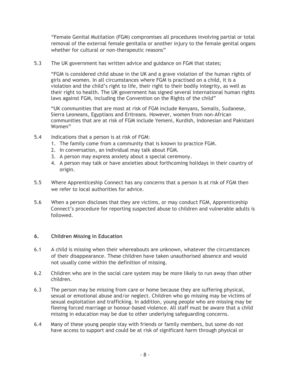"Female Genital Mutilation (FGM) compromises all procedures involving partial or total removal of the external female genitalia or another injury to the female genital organs whether for cultural or non-therapeutic reasons"

5.3 The UK government has written advice and guidance on FGM that states;

"FGM is considered child abuse in the UK and a grave violation of the human rights of girls and women. In all circumstances where FGM is practised on a child, it is a violation and the child's right to life, their right to their bodily integrity, as well as their right to health. The UK government has signed several international human rights laws against FGM, including the Convention on the Rights of the child"

"UK communities that are most at risk of FGM include Kenyans, Somalis, Sudanese, Sierra Leoneans, Egyptians and Eritreans. However, women from non-African communities that are at risk of FGM include Yemeni, Kurdish, Indonesian and Pakistani Women"

- 5.4 Indications that a person is at risk of FGM:
	- 1. The family come from a community that is known to practice FGM.
	- 2. In conversation, an individual may talk about FGM.
	- 3. A person may express anxiety about a special ceremony.
	- 4. A person may talk or have anxieties about forthcoming holidays in their country of origin.
- 5.5 Where Apprenticeship Connect has any concerns that a person is at risk of FGM then we refer to Iocal authorities for advice.
- 5.6 When a person discloses that they are victims, or may conduct FGM, Apprenticeship Connect's procedure for reporting suspected abuse to children and vulnerable adults is followed.

#### **6. Children Missing in Education**

- 6.1 A child is missing when their whereabouts are unknown, whatever the circumstances of their disappearance. These children have taken unauthorised absence and would not usually come within the definition of missing.
- 6.2 Children who are in the social care system may be more likely to run away than other children.
- 6.3 The person may be missing from care or home because they are suffering physical, sexual or emotional abuse and/or neglect. Children who go missing may be victims of sexual exploitation and trafficking. In addition, young people who are missing may be fleeing forced marriage or honour-based violence. All staff must be aware that a child missing in education may be due to other underlying safeguarding concerns.
- 6.4 Many of these young people stay with friends or family members, but some do not have access to support and could be at risk of significant harm through physical or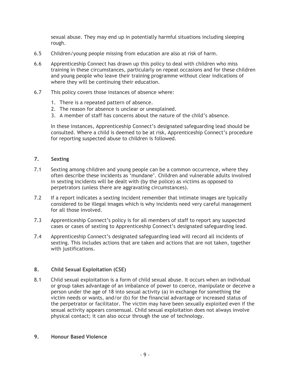sexual abuse. They may end up in potentially harmful situations including sleeping rough.

- 6.5 Children/young people missing from education are also at risk of harm.
- 6.6 Apprenticeship Connect has drawn up this policy to deal with children who miss training in these circumstances, particularly on repeat occasions and for these children and young people who leave their training programme without clear indications of where they will be continuing their education.
- 6.7 This policy covers those instances of absence where:
	- 1. There is a repeated pattern of absence.
	- 2. The reason for absence is unclear or unexplained.
	- 3. A member of staff has concerns about the nature of the child's absence.

In these instances, Apprenticeship Connect's designated safeguarding lead should be consulted. Where a child is deemed to be at risk, Apprenticeship Connect's procedure for reporting suspected abuse to children is followed.

#### **7. Sexting**

- 7.1 Sexting among children and young people can be a common occurrence, where they often describe these incidents as 'mundane'. Children and vulnerable adults involved in sexting incidents will be dealt with (by the police) as victims as opposed to perpetrators (unless there are aggravating circumstances).
- 7.2 If a report indicates a sexting incident remember that intimate images are typically considered to be illegal images which is why incidents need very careful management for all those involved.
- 7.3 Apprenticeship Connect's policy is for all members of staff to report any suspected cases or cases of sexting to Apprenticeship Connect's designated safeguarding lead.
- 7.4 Apprenticeship Connect's designated safeguarding lead will record all incidents of sexting. This includes actions that are taken and actions that are not taken, together with justifications.

#### **8. Child Sexual Exploitation (CSE)**

8.1 Child sexual exploitation is a form of child sexual abuse. It occurs when an individual or group takes advantage of an imbalance of power to coerce, manipulate or deceive a person under the age of 18 into sexual activity (a) in exchange for something the victim needs or wants, and/or (b) for the financial advantage or increased status of the perpetrator or facilitator. The victim may have been sexually exploited even if the sexual activity appears consensual. Child sexual exploitation does not always involve physical contact; it can also occur through the use of technology.

#### **9. Honour Based Violence**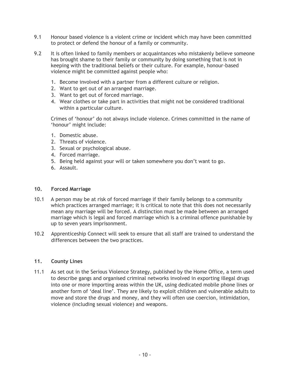- 9.1 Honour based violence is a violent crime or incident which may have been committed to protect or defend the honour of a family or community.
- 9.2 It is often linked to family members or acquaintances who mistakenly believe someone has brought shame to their family or community by doing something that is not in keeping with the traditional beliefs or their culture. For example, honour-based violence might be committed against people who:
	- 1. Become involved with a partner from a different culture or religion.
	- 2. Want to get out of an arranged marriage.
	- 3. Want to get out of forced marriage.
	- 4. Wear clothes or take part in activities that might not be considered traditional within a particular culture.

Crimes of 'honour' do not always include violence. Crimes committed in the name of 'honour' might include:

- 1. Domestic abuse.
- 2. Threats of violence.
- 3. Sexual or psychological abuse.
- 4. Forced marriage.
- 5. Being held against your will or taken somewhere you don't want to go.
- 6. Assault.

#### **10. Forced Marriage**

- 10.1 A person may be at risk of forced marriage if their family belongs to a community which practices arranged marriage; it is critical to note that this does not necessarily mean any marriage will be forced. A distinction must be made between an arranged marriage which is legal and forced marriage which is a criminal offence punishable by up to seven years imprisonment.
- 10.2 Apprenticeship Connect will seek to ensure that all staff are trained to understand the differences between the two practices.

#### **11. County Lines**

<span id="page-9-0"></span>11.1 As set out in the Serious Violence Strategy, published by the Home Office, a term used to describe gangs and organised criminal networks involved in exporting illegal drugs into one or more importing areas within the UK, using dedicated mobile phone lines or another form of 'deal line'. They are likely to exploit children and vulnerable adults to move and store the drugs and money, and they will often use coercion, intimidation, violence (including sexual violence) and weapons.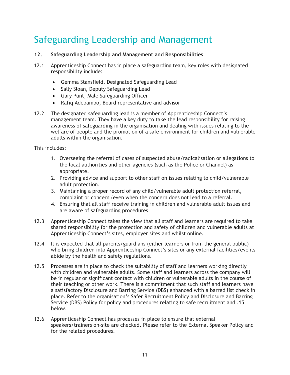# Safeguarding Leadership and Management

- **12. Safeguarding Leadership and Management and Responsibilities**
- 12.1 Apprenticeship Connect has in place a safeguarding team, key roles with designated responsibility include:
	- Gemma Stansfield, Designated Safeguarding Lead
	- Sally Sloan, Deputy Safeguarding Lead
	- Gary Punt, Male Safeguarding Officer
	- Rafiq Adebambo, Board representative and advisor
- 12.2 The designated safeguarding lead is a member of Apprenticeship Connect's management team. They have a key duty to take the lead responsibility for raising awareness of safeguarding in the organisation and dealing with issues relating to the welfare of people and the promotion of a safe environment for children and vulnerable adults within the organisation.

This includes:

- 1. Overseeing the referral of cases of suspected abuse/radicalisation or allegations to the local authorities and other agencies (such as the Police or Channel) as appropriate.
- 2. Providing advice and support to other staff on issues relating to child/vulnerable adult protection.
- 3. Maintaining a proper record of any child/vulnerable adult protection referral, complaint or concern (even when the concern does not lead to a referral.
- 4. Ensuring that all staff receive training in children and vulnerable adult issues and are aware of safeguarding procedures.
- 12.3 Apprenticeship Connect takes the view that all staff and learners are required to take shared responsibility for the protection and safety of children and vulnerable adults at Apprenticeship Connect's sites, employer sites and whilst online.
- 12.4 It is expected that all parents/guardians (either learners or from the general public) who bring children into Apprenticeship Connect's sites or any external facilities/events abide by the health and safety regulations.
- 12.5 Processes are in place to check the suitability of staff and learners working directly with children and vulnerable adults. Some staff and learners across the company will be in regular or significant contact with children or vulnerable adults in the course of their teaching or other work. There is a commitment that such staff and learners have a satisfactory Disclosure and Barring Service (DBS) enhanced with a barred list check in place. Refer to the organisation's Safer Recruitment Policy and Disclosure and Barring Service (DBS) Policy for policy and procedures relating to safe recruitment and .15 below.
- 12.6 Apprenticeship Connect has processes in place to ensure that external speakers/trainers on-site are checked. Please refer to the External Speaker Policy and for the related procedures.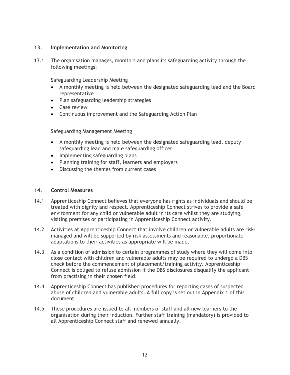### **13. Implementation and Monitoring**

13.1 The organisation manages, monitors and plans its safeguarding activity through the following meetings:

Safeguarding Leadership Meeting

- A monthly meeting is held between the designated safeguarding lead and the Board representative
- Plan safeguarding leadership strategies
- Case review
- Continuous improvement and the Safeguarding Action Plan

Safeguarding Management Meeting

- A monthly meeting is held between the designated safeguarding lead, deputy safeguarding lead and male safeguarding officer.
- Implementing safeguarding plans
- Planning training for staff, learners and employers
- Discussing the themes from current cases

# **14. Control Measures**

- 14.1 Apprenticeship Connect believes that everyone has rights as individuals and should be treated with dignity and respect. Apprenticeship Connect strives to provide a safe environment for any child or vulnerable adult in its care whilst they are studying, visiting premises or participating in Apprenticeship Connect activity.
- 14.2 Activities at Apprenticeship Connect that involve children or vulnerable adults are riskmanaged and will be supported by risk assessments and reasonable, proportionate adaptations to their activities as appropriate will be made.
- 14.3 As a condition of admission to certain programmes of study where they will come into close contact with children and vulnerable adults may be required to undergo a DBS check before the commencement of placement/training activity. Apprenticeship Connect is obliged to refuse admission if the DBS disclosures disqualify the applicant from practising in their chosen field.
- 14.4 Apprenticeship Connect has published procedures for reporting cases of suspected abuse of children and vulnerable adults. A full copy is set out in Appendix 1 of this document.
- 14.5 These procedures are issued to all members of staff and all new learners to the organisation during their induction. Further staff training (mandatory) is provided to all Apprenticeship Connect staff and renewed annually.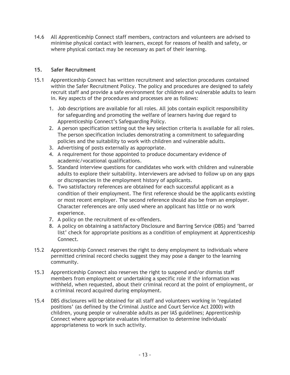14.6 All Apprenticeship Connect staff members, contractors and volunteers are advised to minimise physical contact with learners, except for reasons of health and safety, or where physical contact may be necessary as part of their learning.

# **15. Safer Recruitment**

- 15.1 Apprenticeship Connect has written recruitment and selection procedures contained within the Safer Recruitment Policy. The policy and procedures are designed to safely recruit staff and provide a safe environment for children and vulnerable adults to learn in. Key aspects of the procedures and processes are as follows:
	- 1. Job descriptions are available for all roles. All jobs contain explicit responsibility for safeguarding and promoting the welfare of learners having due regard to Apprenticeship Connect's Safeguarding Policy.
	- 2. A person specification setting out the key selection criteria is available for all roles. The person specification includes demonstrating a commitment to safeguarding policies and the suitability to work with children and vulnerable adults.
	- 3. Advertising of posts externally as appropriate.
	- 4. A requirement for those appointed to produce documentary evidence of academic/vocational qualifications.
	- 5. Standard interview questions for candidates who work with children and vulnerable adults to explore their suitability. Interviewers are advised to follow up on any gaps or discrepancies in the employment history of applicants.
	- 6. Two satisfactory references are obtained for each successful applicant as a condition of their employment. The first reference should be the applicants existing or most recent employer. The second reference should also be from an employer. Character references are only used where an applicant has little or no work experience.
	- 7. A policy on the recruitment of ex-offenders.
	- 8. A policy on obtaining a satisfactory Disclosure and Barring Service (DBS) and 'barred list' check for appropriate positions as a condition of employment at Apprenticeship Connect.
- 15.2 Apprenticeship Connect reserves the right to deny employment to individuals where permitted criminal record checks suggest they may pose a danger to the learning community.
- 15.3 Apprenticeship Connect also reserves the right to suspend and/or dismiss staff members from employment or undertaking a specific role if the information was withheld, when requested, about their criminal record at the point of employment, or a criminal record acquired during employment.
- 15.4 DBS disclosures will be obtained for all staff and volunteers working in 'regulated positions' (as defined by the Criminal Justice and Court Service Act 2000) with children, young people or vulnerable adults as per IAS guidelines; Apprenticeship Connect where appropriate evaluates information to determine individuals' appropriateness to work in such activity.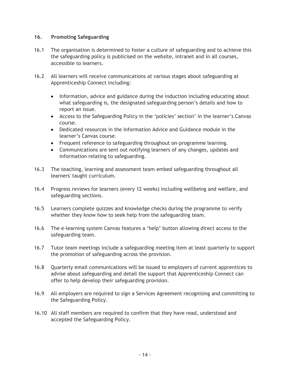### **16. Promoting Safeguarding**

- 16.1 The organisation is determined to foster a culture of safeguarding and to achieve this the safeguarding policy is publicised on the website, intranet and in all courses, accessible to learners.
- 16.2 All learners will receive communications at various stages about safeguarding at Apprenticeship Connect including:
	- Information, advice and guidance during the induction including educating about what safeguarding is, the designated safeguarding person's details and how to report an issue.
	- Access to the Safeguarding Policy in the 'policies' section' in the learner's Canvas course.
	- Dedicated resources in the Information Advice and Guidance module in the learner's Canvas course.
	- Frequent reference to safeguarding throughout on-programme learning.
	- Communications are sent out notifying learners of any changes, updates and information relating to safeguarding.
- 16.3 The teaching, learning and assessment team embed safeguarding throughout all learners' taught curriculum.
- 16.4 Progress reviews for learners (every 12 weeks) including wellbeing and welfare, and safeguarding sections.
- 16.5 Learners complete quizzes and knowledge checks during the programme to verify whether they know how to seek help from the safeguarding team.
- 16.6 The e-learning system Canvas features a 'help' button allowing direct access to the safeguarding team.
- 16.7 Tutor team meetings include a safeguarding meeting item at least quarterly to support the promotion of safeguarding across the provision.
- 16.8 Quarterly email communications will be issued to employers of current apprentices to advise about safeguarding and detail the support that Apprenticeship Connect can offer to help develop their safeguarding provision.
- 16.9 All employers are required to sign a Services Agreement recognising and committing to the Safeguarding Policy.
- 16.10 All staff members are required to confirm that they have read, understood and accepted the Safeguarding Policy.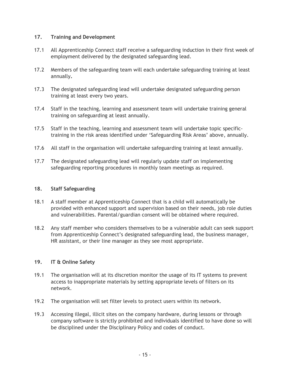# **17. Training and Development**

- 17.1 All Apprenticeship Connect staff receive a safeguarding induction in their first week of employment delivered by the designated safeguarding lead.
- 17.2 Members of the safeguarding team will each undertake safeguarding training at least annually**.**
- 17.3 The designated safeguarding lead will undertake designated safeguarding person training at least every two years.
- 17.4 Staff in the teaching, learning and assessment team will undertake training general training on safeguarding at least annually.
- 17.5 Staff in the teaching, learning and assessment team will undertake topic specifictraining in the risk areas identified under 'Safeguarding Risk Areas' above, annually.
- 17.6 All staff in the organisation will undertake safeguarding training at least annually.
- 17.7 The designated safeguarding lead will regularly update staff on implementing safeguarding reporting procedures in monthly team meetings as required.

# **18. Staff Safeguarding**

- 18.1 A staff member at Apprenticeship Connect that is a child will automatically be provided with enhanced support and supervision based on their needs, job role duties and vulnerabilities. Parental/guardian consent will be obtained where required.
- 18.2 Any staff member who considers themselves to be a vulnerable adult can seek support from Apprenticeship Connect's designated safeguarding lead, the business manager, HR assistant, or their line manager as they see most appropriate.

# **19. IT & Online Safety**

- 19.1 The organisation will at its discretion monitor the usage of its IT systems to prevent access to inappropriate materials by setting appropriate levels of filters on its network.
- 19.2 The organisation will set filter levels to protect users within its network.
- 19.3 Accessing illegal, illicit sites on the company hardware, during lessons or through company software is strictly prohibited and individuals identified to have done so will be disciplined under the Disciplinary Policy and codes of conduct.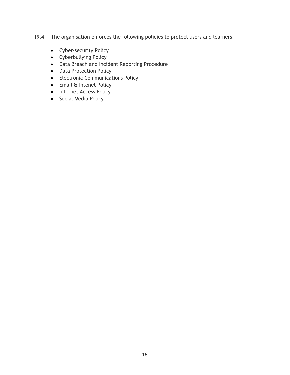- <span id="page-15-0"></span>19.4 The organisation enforces the following policies to protect users and learners:
	- Cyber-security Policy
	- Cyberbullying Policy
	- Data Breach and Incident Reporting Procedure
	- Data Protection Policy
	- Electronic Communications Policy
	- Email & Intenet Policy
	- Internet Access Policy
	- Social Media Policy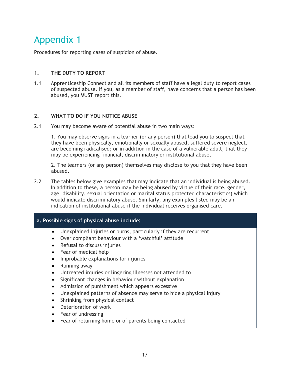# Appendix 1

Procedures for reporting cases of suspicion of abuse.

# **1. THE DUTY TO REPORT**

1.1 Apprenticeship Connect and all its members of staff have a legal duty to report cases of suspected abuse. If you, as a member of staff, have concerns that a person has been abused, you MUST report this.

### **2. WHAT TO DO IF YOU NOTICE ABUSE**

2.1 You may become aware of potential abuse in two main ways:

1. You may observe signs in a learner (or any person) that lead you to suspect that they have been physically, emotionally or sexually abused, suffered severe neglect, are becoming radicalised; or in addition in the case of a vulnerable adult, that they may be experiencing financial, discriminatory or institutional abuse.

2. The learners (or any person) themselves may disclose to you that they have been abused.

2.2 The tables below give examples that may indicate that an individual is being abused. In addition to these, a person may be being abused by virtue of their race, gender, age, disability, sexual orientation or marital status protected characteristics) which would indicate discriminatory abuse. Similarly, any examples listed may be an indication of institutional abuse if the individual receives organised care.

#### **a. Possible signs of physical abuse include:**

- Unexplained injuries or burns, particularly if they are recurrent
- Over compliant behaviour with a 'watchful' attitude
- Refusal to discuss injuries
- Fear of medical help
- Improbable explanations for injuries
- Running away
- Untreated injuries or lingering illnesses not attended to
- Significant changes in behaviour without explanation
- Admission of punishment which appears excessive
- Unexplained patterns of absence may serve to hide a physical injury
- Shrinking from physical contact
- Deterioration of work
- Fear of undressing
- Fear of returning home or of parents being contacted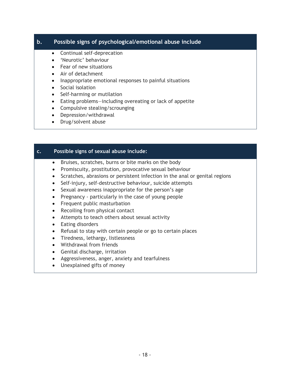# **b. Possible signs of psychological/emotional abuse include**

- Continual self-deprecation
- 'Neurotic' behaviour
- Fear of new situations
- Air of detachment
- Inappropriate emotional responses to painful situations
- Social isolation
- Self-harming or mutilation
- Eating problems—including overeating or lack of appetite
- Compulsive stealing/scrounging
- Depression/withdrawal
- Drug/solvent abuse

# **c. Possible signs of sexual abuse include:**

- Bruises, scratches, burns or bite marks on the body
- Promiscuity, prostitution, provocative sexual behaviour
- Scratches, abrasions or persistent infection in the anal or genital regions
- Self-injury, self-destructive behaviour, suicide attempts
- Sexual awareness inappropriate for the person's age
- Pregnancy particularly in the case of young people
- Frequent public masturbation
- Recoiling from physical contact
- Attempts to teach others about sexual activity
- Eating disorders
- Refusal to stay with certain people or go to certain places
- Tiredness, lethargy, listlessness
- Withdrawal from friends
- Genital discharge, irritation
- Aggressiveness, anger, anxiety and tearfulness
- Unexplained gifts of money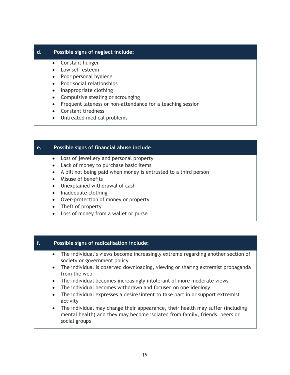# **d. Possible signs of neglect include:**

- Constant hunger
- Low self-esteem
- Poor personal hygiene
- Poor social relationships
- Inappropriate clothing
- Compulsive stealing or scrounging
- Frequent lateness or non-attendance for a teaching session
- Constant tiredness
- Untreated medical problems

### **e. Possible signs of financial abuse include**

- Loss of jewellery and personal property
- Lack of money to purchase basic items
- A bill not being paid when money is entrusted to a third person
- Misuse of benefits
- Unexplained withdrawal of cash
- Inadequate clothing
- Over-protection of money or property
- Theft of property
- Loss of money from a wallet or purse

# **f. Possible signs of radicalisation include:**

- The individual's views become increasingly extreme regarding another section of society or government policy
- The individual is observed downloading, viewing or sharing extremist propaganda from the web
- The individual becomes increasingly intolerant of more moderate views
- The individual becomes withdrawn and focused on one ideology
- The individual expresses a desire/intent to take part in or support extremist activity
- The individual may change their appearance, their health may suffer (including mental health) and they may become isolated from family, friends, peers or social groups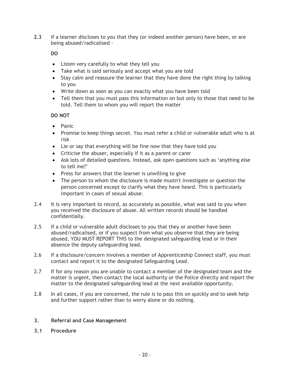2.3 If a learner discloses to you that they (or indeed another person) have been, or are being abused/radicalised -

**DO**

- Listen very carefully to what they tell you
- Take what is said seriously and accept what you are told
- Stay calm and reassure the learner that they have done the right thing by talking to you
- Write down as soon as you can exactly what you have been told
- Tell them that you must pass this information on but only to those that need to be told. Tell them to whom you will report the matter

### **DO NOT**

- Panic
- Promise to keep things secret. You must refer a child or vulnerable adult who is at risk
- Lie or say that everything will be fine now that they have told you
- Criticise the abuser, especially if it as a parent or carer
- Ask lots of detailed questions. Instead, ask open questions such as 'anything else to tell me?'
- Press for answers that the learner is unwilling to give
- The person to whom the disclosure is made mustn't investigate or question the person concerned except to clarify what they have heard. This is particularly important in cases of sexual abuse.
- 2.4 It is very important to record, as accurately as possible, what was said to you when you received the disclosure of abuse. All written records should be handled confidentially.
- 2.5 If a child or vulnerable adult discloses to you that they or another have been abused/radicalised, or if you suspect from what you observe that they are being abused, YOU MUST REPORT THIS to the designated safeguarding lead or in their absence the deputy safeguarding lead.
- 2.6 If a disclosure/concern involves a member of Apprenticeship Connect staff, you must contact and report it to the designated Safeguarding Lead.
- 2.7 If for any reason you are unable to contact a member of the designated team and the matter is urgent, then contact the local authority or the Police directly and report the matter to the designated safeguarding lead at the next available opportunity.
- 2.8 In all cases, if you are concerned, the rule is to pass this on quickly and to seek help and further support rather than to worry alone or do nothing.

# **3. Referral and Case Management**

**3.1 Procedure**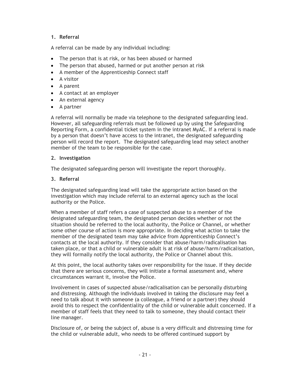# **1. Referral**

A referral can be made by any individual including:

- The person that is at risk, or has been abused or harmed
- The person that abused, harmed or put another person at risk
- A member of the Apprenticeship Connect staff
- A visitor
- A parent
- A contact at an employer
- An external agency
- A partner

A referral will normally be made via telephone to the designated safeguarding lead. However, all safeguarding referrals must be followed up by using the Safeguarding Reporting Form, a confidential ticket system in the intranet MyAC. If a referral is made by a person that doesn't have access to the intranet, the designated safeguarding person will record the report. The designated safeguarding lead may select another member of the team to be responsible for the case.

# **2. Investigation**

The designated safeguarding person will investigate the report thoroughly.

# **3. Referral**

The designated safeguarding lead will take the appropriate action based on the investigation which may include referral to an external agency such as the local authority or the Police.

When a member of staff refers a case of suspected abuse to a member of the designated safeguarding team, the designated person decides whether or not the situation should be referred to the local authority, the Police or Channel, or whether some other course of action is more appropriate. In deciding what action to take the member of the designated team may take advice from Apprenticeship Connect's contacts at the local authority. If they consider that abuse/harm/radicalisation has taken place, or that a child or vulnerable adult is at risk of abuse/harm/radicalisation, they will formally notify the local authority, the Police or Channel about this.

At this point, the local authority takes over responsibility for the issue. If they decide that there are serious concerns, they will initiate a formal assessment and, where circumstances warrant it, involve the Police.

Involvement in cases of suspected abuse/radicalisation can be personally disturbing and distressing. Although the individuals involved in taking the disclosure may feel a need to talk about it with someone (a colleague, a friend or a partner) they should avoid this to respect the confidentiality of the child or vulnerable adult concerned. If a member of staff feels that they need to talk to someone, they should contact their line manager.

Disclosure of, or being the subject of, abuse is a very difficult and distressing time for the child or vulnerable adult, who needs to be offered continued support by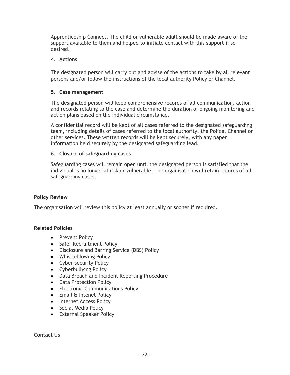Apprenticeship Connect. The child or vulnerable adult should be made aware of the support available to them and helped to initiate contact with this support if so desired.

### **4. Actions**

The designated person will carry out and advise of the actions to take by all relevant persons and/or follow the instructions of the local authority Policy or Channel.

# **5. Case management**

The designated person will keep comprehensive records of all communication, action and records relating to the case and determine the duration of ongoing monitoring and action plans based on the individual circumstance.

A confidential record will be kept of all cases referred to the designated safeguarding team, including details of cases referred to the local authority, the Police, Channel or other services. These written records will be kept securely, with any paper information held securely by the designated safeguarding lead.

### **6. Closure of safeguarding cases**

Safeguarding cases will remain open until the designated person is satisfied that the individual is no longer at risk or vulnerable. The organisation will retain records of all safeguarding cases.

#### **Policy Review**

The organisation will review this policy at least annually or sooner if required.

#### **Related Policies**

- Prevent Policy
- Safer Recruitment Policy
- Disclosure and Barring Service (DBS) Policy
- Whistleblowing Policy
- Cyber-security Policy
- Cyberbullying Policy
- Data Breach and Incident Reporting Procedure
- Data Protection Policy
- Electronic Communications Policy
- Email & Intenet Policy
- Internet Access Policy
- Social Media Policy
- External Speaker Policy

**Contact Us**